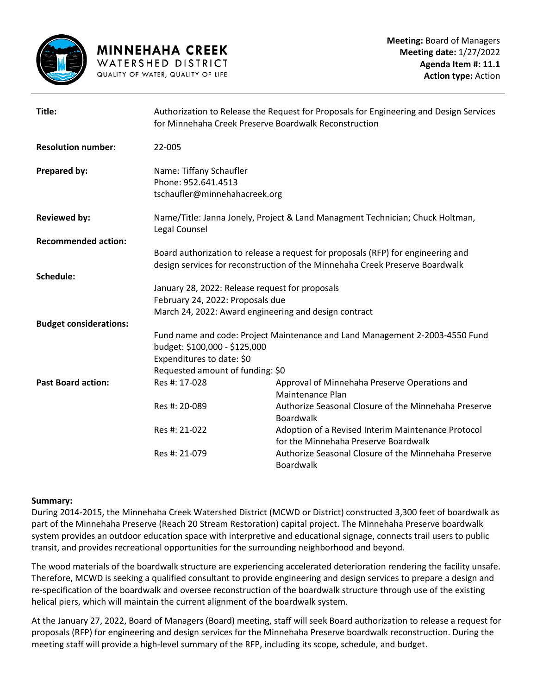

| Title:                        | Authorization to Release the Request for Proposals for Engineering and Design Services<br>for Minnehaha Creek Preserve Boardwalk Reconstruction |                                                                                            |
|-------------------------------|-------------------------------------------------------------------------------------------------------------------------------------------------|--------------------------------------------------------------------------------------------|
| <b>Resolution number:</b>     | 22-005                                                                                                                                          |                                                                                            |
| Prepared by:                  | Name: Tiffany Schaufler<br>Phone: 952.641.4513<br>tschaufler@minnehahacreek.org                                                                 |                                                                                            |
| <b>Reviewed by:</b>           | Name/Title: Janna Jonely, Project & Land Managment Technician; Chuck Holtman,<br>Legal Counsel                                                  |                                                                                            |
| <b>Recommended action:</b>    |                                                                                                                                                 |                                                                                            |
|                               | Board authorization to release a request for proposals (RFP) for engineering and                                                                |                                                                                            |
|                               |                                                                                                                                                 | design services for reconstruction of the Minnehaha Creek Preserve Boardwalk               |
| Schedule:                     |                                                                                                                                                 |                                                                                            |
|                               | January 28, 2022: Release request for proposals<br>February 24, 2022: Proposals due                                                             |                                                                                            |
|                               |                                                                                                                                                 | March 24, 2022: Award engineering and design contract                                      |
| <b>Budget considerations:</b> |                                                                                                                                                 |                                                                                            |
|                               | Fund name and code: Project Maintenance and Land Management 2-2003-4550 Fund<br>budget: \$100,000 - \$125,000<br>Expenditures to date: \$0      |                                                                                            |
|                               | Requested amount of funding: \$0                                                                                                                |                                                                                            |
| <b>Past Board action:</b>     | Res #: 17-028                                                                                                                                   | Approval of Minnehaha Preserve Operations and<br>Maintenance Plan                          |
|                               | Res #: 20-089                                                                                                                                   | Authorize Seasonal Closure of the Minnehaha Preserve<br><b>Boardwalk</b>                   |
|                               | Res #: 21-022                                                                                                                                   | Adoption of a Revised Interim Maintenance Protocol<br>for the Minnehaha Preserve Boardwalk |
|                               | Res #: 21-079                                                                                                                                   | Authorize Seasonal Closure of the Minnehaha Preserve<br><b>Boardwalk</b>                   |

### **Summary:**

During 2014-2015, the Minnehaha Creek Watershed District (MCWD or District) constructed 3,300 feet of boardwalk as part of the Minnehaha Preserve (Reach 20 Stream Restoration) capital project. The Minnehaha Preserve boardwalk system provides an outdoor education space with interpretive and educational signage, connects trail users to public transit, and provides recreational opportunities for the surrounding neighborhood and beyond.

The wood materials of the boardwalk structure are experiencing accelerated deterioration rendering the facility unsafe. Therefore, MCWD is seeking a qualified consultant to provide engineering and design services to prepare a design and re-specification of the boardwalk and oversee reconstruction of the boardwalk structure through use of the existing helical piers, which will maintain the current alignment of the boardwalk system.

At the January 27, 2022, Board of Managers (Board) meeting, staff will seek Board authorization to release a request for proposals (RFP) for engineering and design services for the Minnehaha Preserve boardwalk reconstruction. During the meeting staff will provide a high-level summary of the RFP, including its scope, schedule, and budget.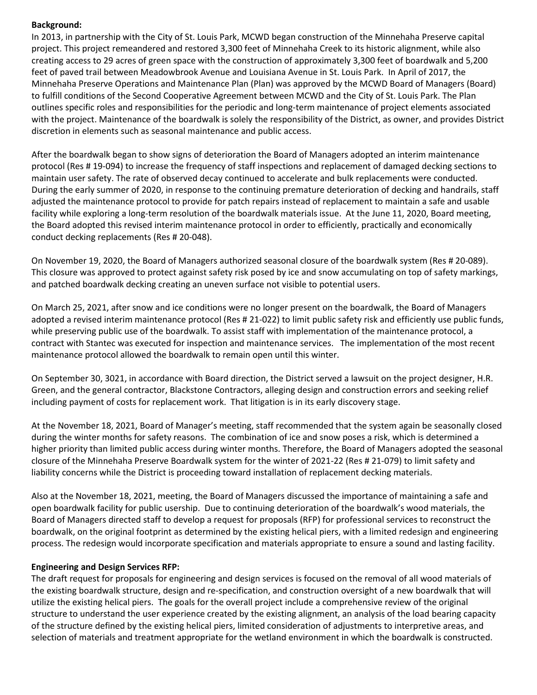### **Background:**

In 2013, in partnership with the City of St. Louis Park, MCWD began construction of the Minnehaha Preserve capital project. This project remeandered and restored 3,300 feet of Minnehaha Creek to its historic alignment, while also creating access to 29 acres of green space with the construction of approximately 3,300 feet of boardwalk and 5,200 feet of paved trail between Meadowbrook Avenue and Louisiana Avenue in St. Louis Park. In April of 2017, the Minnehaha Preserve Operations and Maintenance Plan (Plan) was approved by the MCWD Board of Managers (Board) to fulfill conditions of the Second Cooperative Agreement between MCWD and the City of St. Louis Park. The Plan outlines specific roles and responsibilities for the periodic and long-term maintenance of project elements associated with the project. Maintenance of the boardwalk is solely the responsibility of the District, as owner, and provides District discretion in elements such as seasonal maintenance and public access.

After the boardwalk began to show signs of deterioration the Board of Managers adopted an interim maintenance protocol (Res # 19-094) to increase the frequency of staff inspections and replacement of damaged decking sections to maintain user safety. The rate of observed decay continued to accelerate and bulk replacements were conducted. During the early summer of 2020, in response to the continuing premature deterioration of decking and handrails, staff adjusted the maintenance protocol to provide for patch repairs instead of replacement to maintain a safe and usable facility while exploring a long-term resolution of the boardwalk materials issue. At the June 11, 2020, Board meeting, the Board adopted this revised interim maintenance protocol in order to efficiently, practically and economically conduct decking replacements (Res # 20-048).

On November 19, 2020, the Board of Managers authorized seasonal closure of the boardwalk system (Res # 20-089). This closure was approved to protect against safety risk posed by ice and snow accumulating on top of safety markings, and patched boardwalk decking creating an uneven surface not visible to potential users.

On March 25, 2021, after snow and ice conditions were no longer present on the boardwalk, the Board of Managers adopted a revised interim maintenance protocol (Res # 21-022) to limit public safety risk and efficiently use public funds, while preserving public use of the boardwalk. To assist staff with implementation of the maintenance protocol, a contract with Stantec was executed for inspection and maintenance services. The implementation of the most recent maintenance protocol allowed the boardwalk to remain open until this winter.

On September 30, 3021, in accordance with Board direction, the District served a lawsuit on the project designer, H.R. Green, and the general contractor, Blackstone Contractors, alleging design and construction errors and seeking relief including payment of costs for replacement work. That litigation is in its early discovery stage.

At the November 18, 2021, Board of Manager's meeting, staff recommended that the system again be seasonally closed during the winter months for safety reasons. The combination of ice and snow poses a risk, which is determined a higher priority than limited public access during winter months. Therefore, the Board of Managers adopted the seasonal closure of the Minnehaha Preserve Boardwalk system for the winter of 2021-22 (Res # 21-079) to limit safety and liability concerns while the District is proceeding toward installation of replacement decking materials.

Also at the November 18, 2021, meeting, the Board of Managers discussed the importance of maintaining a safe and open boardwalk facility for public usership. Due to continuing deterioration of the boardwalk's wood materials, the Board of Managers directed staff to develop a request for proposals (RFP) for professional services to reconstruct the boardwalk, on the original footprint as determined by the existing helical piers, with a limited redesign and engineering process. The redesign would incorporate specification and materials appropriate to ensure a sound and lasting facility.

### **Engineering and Design Services RFP:**

The draft request for proposals for engineering and design services is focused on the removal of all wood materials of the existing boardwalk structure, design and re-specification, and construction oversight of a new boardwalk that will utilize the existing helical piers. The goals for the overall project include a comprehensive review of the original structure to understand the user experience created by the existing alignment, an analysis of the load bearing capacity of the structure defined by the existing helical piers, limited consideration of adjustments to interpretive areas, and selection of materials and treatment appropriate for the wetland environment in which the boardwalk is constructed.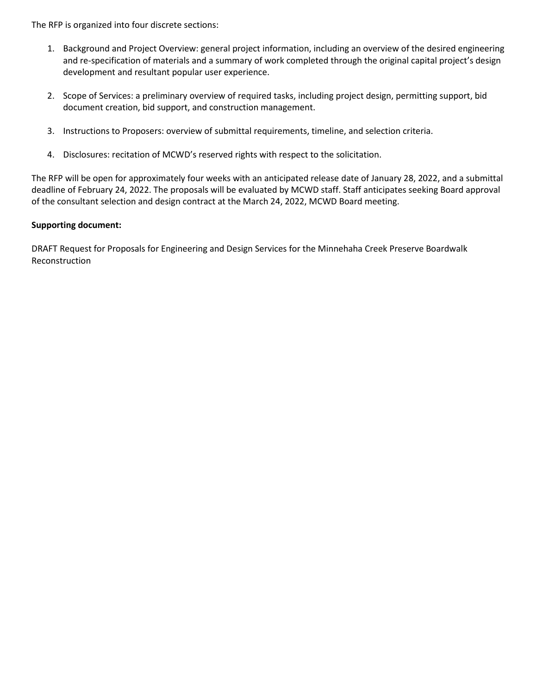The RFP is organized into four discrete sections:

- 1. Background and Project Overview: general project information, including an overview of the desired engineering and re-specification of materials and a summary of work completed through the original capital project's design development and resultant popular user experience.
- 2. Scope of Services: a preliminary overview of required tasks, including project design, permitting support, bid document creation, bid support, and construction management.
- 3. Instructions to Proposers: overview of submittal requirements, timeline, and selection criteria.
- 4. Disclosures: recitation of MCWD's reserved rights with respect to the solicitation.

The RFP will be open for approximately four weeks with an anticipated release date of January 28, 2022, and a submittal deadline of February 24, 2022. The proposals will be evaluated by MCWD staff. Staff anticipates seeking Board approval of the consultant selection and design contract at the March 24, 2022, MCWD Board meeting.

### **Supporting document:**

DRAFT Request for Proposals for Engineering and Design Services for the Minnehaha Creek Preserve Boardwalk Reconstruction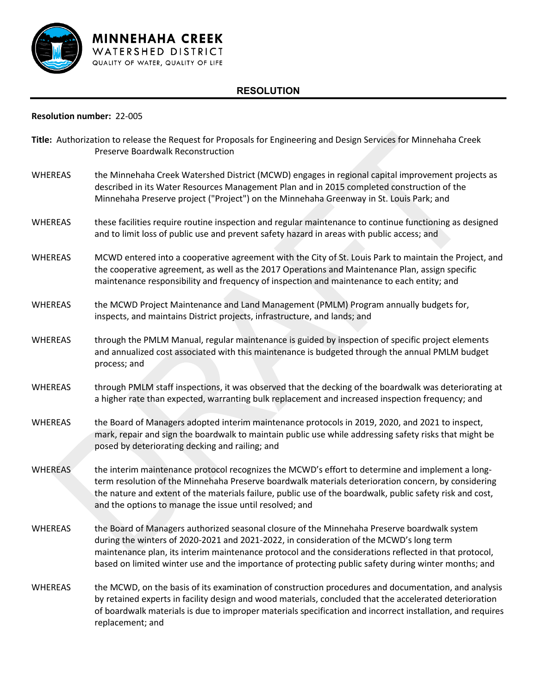

# **RESOLUTION**

#### **Resolution number:** 22-005

| Title: Authorization to release the Request for Proposals for Engineering and Design Services for Minnehaha Creek<br>Preserve Boardwalk Reconstruction |                                                                                                                                                                                                                                                                                                                                                                                                          |  |
|--------------------------------------------------------------------------------------------------------------------------------------------------------|----------------------------------------------------------------------------------------------------------------------------------------------------------------------------------------------------------------------------------------------------------------------------------------------------------------------------------------------------------------------------------------------------------|--|
| <b>WHEREAS</b>                                                                                                                                         | the Minnehaha Creek Watershed District (MCWD) engages in regional capital improvement projects as<br>described in its Water Resources Management Plan and in 2015 completed construction of the<br>Minnehaha Preserve project ("Project") on the Minnehaha Greenway in St. Louis Park; and                                                                                                               |  |
| <b>WHEREAS</b>                                                                                                                                         | these facilities require routine inspection and regular maintenance to continue functioning as designed<br>and to limit loss of public use and prevent safety hazard in areas with public access; and                                                                                                                                                                                                    |  |
| <b>WHEREAS</b>                                                                                                                                         | MCWD entered into a cooperative agreement with the City of St. Louis Park to maintain the Project, and<br>the cooperative agreement, as well as the 2017 Operations and Maintenance Plan, assign specific<br>maintenance responsibility and frequency of inspection and maintenance to each entity; and                                                                                                  |  |
| <b>WHEREAS</b>                                                                                                                                         | the MCWD Project Maintenance and Land Management (PMLM) Program annually budgets for,<br>inspects, and maintains District projects, infrastructure, and lands; and                                                                                                                                                                                                                                       |  |
| WHEREAS                                                                                                                                                | through the PMLM Manual, regular maintenance is guided by inspection of specific project elements<br>and annualized cost associated with this maintenance is budgeted through the annual PMLM budget<br>process; and                                                                                                                                                                                     |  |
| WHEREAS                                                                                                                                                | through PMLM staff inspections, it was observed that the decking of the boardwalk was deteriorating at<br>a higher rate than expected, warranting bulk replacement and increased inspection frequency; and                                                                                                                                                                                               |  |
| WHEREAS                                                                                                                                                | the Board of Managers adopted interim maintenance protocols in 2019, 2020, and 2021 to inspect,<br>mark, repair and sign the boardwalk to maintain public use while addressing safety risks that might be<br>posed by deteriorating decking and railing; and                                                                                                                                             |  |
| <b>WHEREAS</b>                                                                                                                                         | the interim maintenance protocol recognizes the MCWD's effort to determine and implement a long-<br>term resolution of the Minnehaha Preserve boardwalk materials deterioration concern, by considering<br>the nature and extent of the materials failure, public use of the boardwalk, public safety risk and cost,<br>and the options to manage the issue until resolved; and                          |  |
| <b>WHEREAS</b>                                                                                                                                         | the Board of Managers authorized seasonal closure of the Minnehaha Preserve boardwalk system<br>during the winters of 2020-2021 and 2021-2022, in consideration of the MCWD's long term<br>maintenance plan, its interim maintenance protocol and the considerations reflected in that protocol,<br>based on limited winter use and the importance of protecting public safety during winter months; and |  |
| <b>WHEREAS</b>                                                                                                                                         | the MCWD, on the basis of its examination of construction procedures and documentation, and analysis<br>by retained experts in facility design and wood materials, concluded that the accelerated deterioration<br>of boardwalk materials is due to improper materials specification and incorrect installation, and requires<br>replacement; and                                                        |  |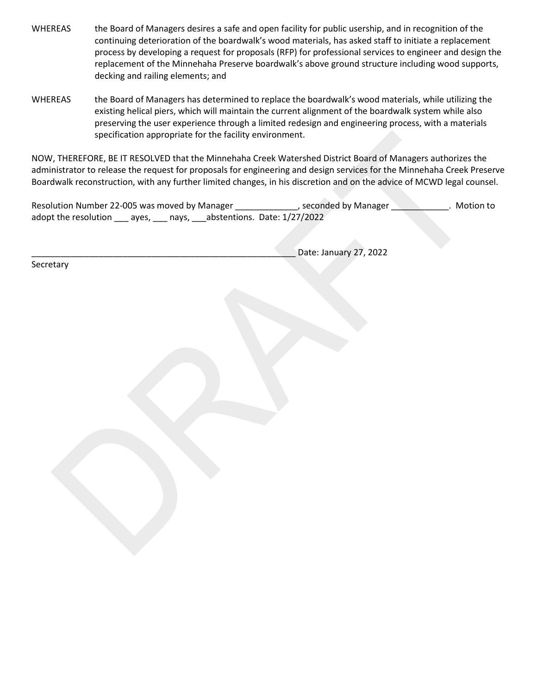- WHEREAS the Board of Managers desires a safe and open facility for public usership, and in recognition of the continuing deterioration of the boardwalk's wood materials, has asked staff to initiate a replacement process by developing a request for proposals (RFP) for professional services to engineer and design the replacement of the Minnehaha Preserve boardwalk's above ground structure including wood supports, decking and railing elements; and
- WHEREAS the Board of Managers has determined to replace the boardwalk's wood materials, while utilizing the existing helical piers, which will maintain the current alignment of the boardwalk system while also preserving the user experience through a limited redesign and engineering process, with a materials specification appropriate for the facility environment.

NOW, THEREFORE, BE IT RESOLVED that the Minnehaha Creek Watershed District Board of Managers authorizes the administrator to release the request for proposals for engineering and design services for the Minnehaha Creek Preserve Boardwalk reconstruction, with any further limited changes, in his discretion and on the advice of MCWD legal counsel.

Resolution Number 22-005 was moved by Manager \_\_\_\_\_\_\_\_\_\_\_\_\_, seconded by Manager \_\_\_\_\_\_\_\_\_\_\_\_. Motion to adopt the resolution \_\_\_ ayes, \_\_\_ nays, \_\_\_abstentions. Date: 1/27/2022

Date: January 27, 2022

**Secretary**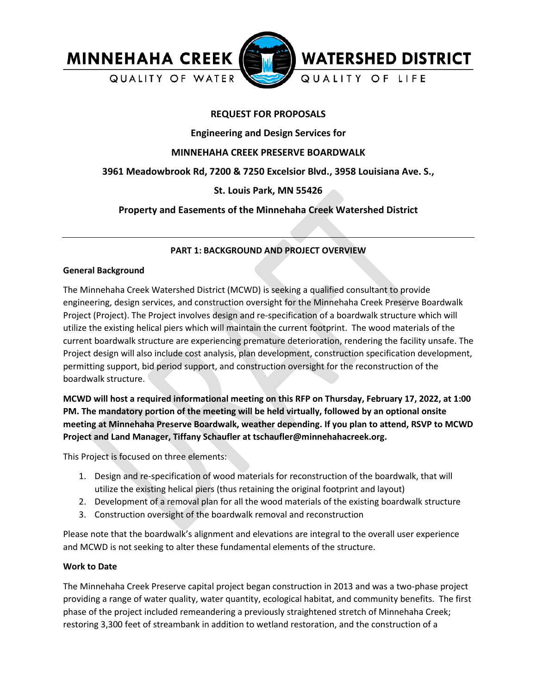

## **REQUEST FOR PROPOSALS**

**Engineering and Design Services for**

## **MINNEHAHA CREEK PRESERVE BOARDWALK**

# **3961 Meadowbrook Rd, 7200 & 7250 Excelsior Blvd., 3958 Louisiana Ave. S.,**

# **St. Louis Park, MN 55426**

# **Property and Easements of the Minnehaha Creek Watershed District**

## **PART 1: BACKGROUND AND PROJECT OVERVIEW**

#### **General Background**

The Minnehaha Creek Watershed District (MCWD) is seeking a qualified consultant to provide engineering, design services, and construction oversight for the Minnehaha Creek Preserve Boardwalk Project (Project). The Project involves design and re-specification of a boardwalk structure which will utilize the existing helical piers which will maintain the current footprint. The wood materials of the current boardwalk structure are experiencing premature deterioration, rendering the facility unsafe. The Project design will also include cost analysis, plan development, construction specification development, permitting support, bid period support, and construction oversight for the reconstruction of the boardwalk structure.

**MCWD will host a required informational meeting on this RFP on Thursday, February 17, 2022, at 1:00 PM. The mandatory portion of the meeting will be held virtually, followed by an optional onsite meeting at Minnehaha Preserve Boardwalk, weather depending. If you plan to attend, RSVP to MCWD Project and Land Manager, Tiffany Schaufler at tschaufler@minnehahacreek.org.**

This Project is focused on three elements:

- 1. Design and re-specification of wood materials for reconstruction of the boardwalk, that will utilize the existing helical piers (thus retaining the original footprint and layout)
- 2. Development of a removal plan for all the wood materials of the existing boardwalk structure
- 3. Construction oversight of the boardwalk removal and reconstruction

Please note that the boardwalk's alignment and elevations are integral to the overall user experience and MCWD is not seeking to alter these fundamental elements of the structure.

### **Work to Date**

The Minnehaha Creek Preserve capital project began construction in 2013 and was a two-phase project providing a range of water quality, water quantity, ecological habitat, and community benefits. The first phase of the project included remeandering a previously straightened stretch of Minnehaha Creek; restoring 3,300 feet of streambank in addition to wetland restoration, and the construction of a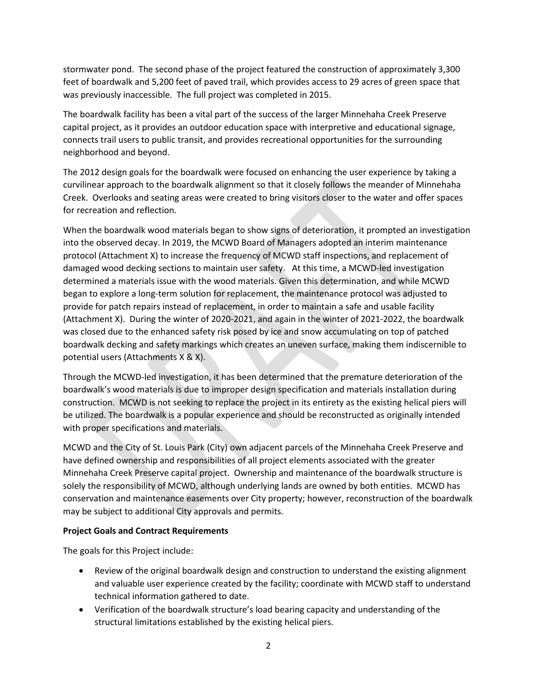stormwater pond. The second phase of the project featured the construction of approximately 3,300 feet of boardwalk and 5,200 feet of paved trail, which provides access to 29 acres of green space that was previously inaccessible. The full project was completed in 2015.

The boardwalk facility has been a vital part of the success of the larger Minnehaha Creek Preserve capital project, as it provides an outdoor education space with interpretive and educational signage, connects trail users to public transit, and provides recreational opportunities for the surrounding neighborhood and beyond.

The 2012 design goals for the boardwalk were focused on enhancing the user experience by taking a curvilinear approach to the boardwalk alignment so that it closely follows the meander of Minnehaha Creek. Overlooks and seating areas were created to bring visitors closer to the water and offer spaces for recreation and reflection.

When the boardwalk wood materials began to show signs of deterioration, it prompted an investigation into the observed decay. In 2019, the MCWD Board of Managers adopted an interim maintenance protocol (Attachment X) to increase the frequency of MCWD staff inspections, and replacement of damaged wood decking sections to maintain user safety. At this time, a MCWD-led investigation determined a materials issue with the wood materials. Given this determination, and while MCWD began to explore a long-term solution for replacement, the maintenance protocol was adjusted to provide for patch repairs instead of replacement, in order to maintain a safe and usable facility (Attachment X). During the winter of 2020-2021, and again in the winter of 2021-2022, the boardwalk was closed due to the enhanced safety risk posed by ice and snow accumulating on top of patched boardwalk decking and safety markings which creates an uneven surface, making them indiscernible to potential users (Attachments X & X).

Through the MCWD-led investigation, it has been determined that the premature deterioration of the boardwalk's wood materials is due to improper design specification and materials installation during construction. MCWD is not seeking to replace the project in its entirety as the existing helical piers will be utilized. The boardwalk is a popular experience and should be reconstructed as originally intended with proper specifications and materials.

MCWD and the City of St. Louis Park (City) own adjacent parcels of the Minnehaha Creek Preserve and have defined ownership and responsibilities of all project elements associated with the greater Minnehaha Creek Preserve capital project. Ownership and maintenance of the boardwalk structure is solely the responsibility of MCWD, although underlying lands are owned by both entities. MCWD has conservation and maintenance easements over City property; however, reconstruction of the boardwalk may be subject to additional City approvals and permits.

### **Project Goals and Contract Requirements**

The goals for this Project include:

- Review of the original boardwalk design and construction to understand the existing alignment and valuable user experience created by the facility; coordinate with MCWD staff to understand technical information gathered to date.
- Verification of the boardwalk structure's load bearing capacity and understanding of the structural limitations established by the existing helical piers.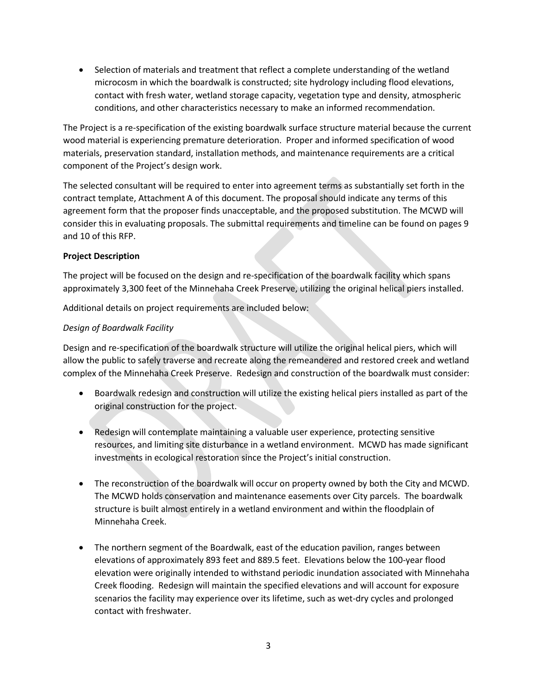• Selection of materials and treatment that reflect a complete understanding of the wetland microcosm in which the boardwalk is constructed; site hydrology including flood elevations, contact with fresh water, wetland storage capacity, vegetation type and density, atmospheric conditions, and other characteristics necessary to make an informed recommendation.

The Project is a re-specification of the existing boardwalk surface structure material because the current wood material is experiencing premature deterioration. Proper and informed specification of wood materials, preservation standard, installation methods, and maintenance requirements are a critical component of the Project's design work.

The selected consultant will be required to enter into agreement terms as substantially set forth in the contract template, Attachment A of this document. The proposal should indicate any terms of this agreement form that the proposer finds unacceptable, and the proposed substitution. The MCWD will consider this in evaluating proposals. The submittal requirements and timeline can be found on pages 9 and 10 of this RFP.

## **Project Description**

The project will be focused on the design and re-specification of the boardwalk facility which spans approximately 3,300 feet of the Minnehaha Creek Preserve, utilizing the original helical piers installed.

Additional details on project requirements are included below:

## *Design of Boardwalk Facility*

Design and re-specification of the boardwalk structure will utilize the original helical piers, which will allow the public to safely traverse and recreate along the remeandered and restored creek and wetland complex of the Minnehaha Creek Preserve. Redesign and construction of the boardwalk must consider:

- Boardwalk redesign and construction will utilize the existing helical piers installed as part of the original construction for the project.
- Redesign will contemplate maintaining a valuable user experience, protecting sensitive resources, and limiting site disturbance in a wetland environment. MCWD has made significant investments in ecological restoration since the Project's initial construction.
- The reconstruction of the boardwalk will occur on property owned by both the City and MCWD. The MCWD holds conservation and maintenance easements over City parcels. The boardwalk structure is built almost entirely in a wetland environment and within the floodplain of Minnehaha Creek.
- The northern segment of the Boardwalk, east of the education pavilion, ranges between elevations of approximately 893 feet and 889.5 feet. Elevations below the 100-year flood elevation were originally intended to withstand periodic inundation associated with Minnehaha Creek flooding. Redesign will maintain the specified elevations and will account for exposure scenarios the facility may experience over its lifetime, such as wet-dry cycles and prolonged contact with freshwater.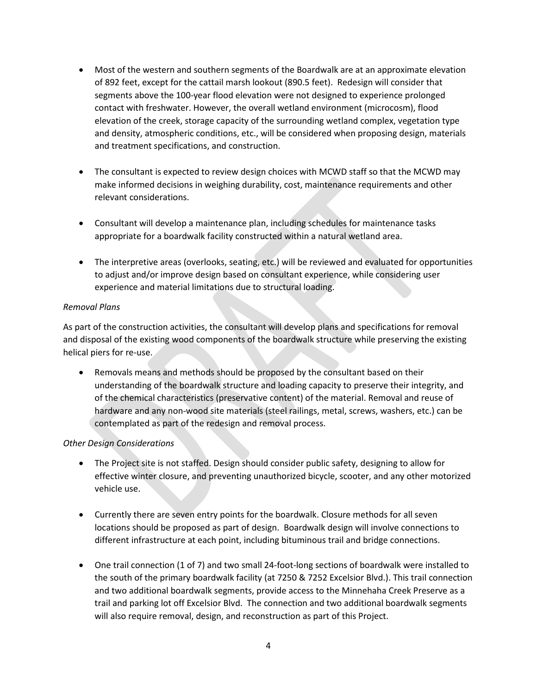- Most of the western and southern segments of the Boardwalk are at an approximate elevation of 892 feet, except for the cattail marsh lookout (890.5 feet). Redesign will consider that segments above the 100-year flood elevation were not designed to experience prolonged contact with freshwater. However, the overall wetland environment (microcosm), flood elevation of the creek, storage capacity of the surrounding wetland complex, vegetation type and density, atmospheric conditions, etc., will be considered when proposing design, materials and treatment specifications, and construction.
- The consultant is expected to review design choices with MCWD staff so that the MCWD may make informed decisions in weighing durability, cost, maintenance requirements and other relevant considerations.
- Consultant will develop a maintenance plan, including schedules for maintenance tasks appropriate for a boardwalk facility constructed within a natural wetland area.
- The interpretive areas (overlooks, seating, etc.) will be reviewed and evaluated for opportunities to adjust and/or improve design based on consultant experience, while considering user experience and material limitations due to structural loading.

## *Removal Plans*

As part of the construction activities, the consultant will develop plans and specifications for removal and disposal of the existing wood components of the boardwalk structure while preserving the existing helical piers for re-use.

• Removals means and methods should be proposed by the consultant based on their understanding of the boardwalk structure and loading capacity to preserve their integrity, and of the chemical characteristics (preservative content) of the material. Removal and reuse of hardware and any non-wood site materials (steel railings, metal, screws, washers, etc.) can be contemplated as part of the redesign and removal process.

### *Other Design Considerations*

- The Project site is not staffed. Design should consider public safety, designing to allow for effective winter closure, and preventing unauthorized bicycle, scooter, and any other motorized vehicle use.
- Currently there are seven entry points for the boardwalk. Closure methods for all seven locations should be proposed as part of design. Boardwalk design will involve connections to different infrastructure at each point, including bituminous trail and bridge connections.
- One trail connection (1 of 7) and two small 24-foot-long sections of boardwalk were installed to the south of the primary boardwalk facility (at 7250 & 7252 Excelsior Blvd.). This trail connection and two additional boardwalk segments, provide access to the Minnehaha Creek Preserve as a trail and parking lot off Excelsior Blvd. The connection and two additional boardwalk segments will also require removal, design, and reconstruction as part of this Project.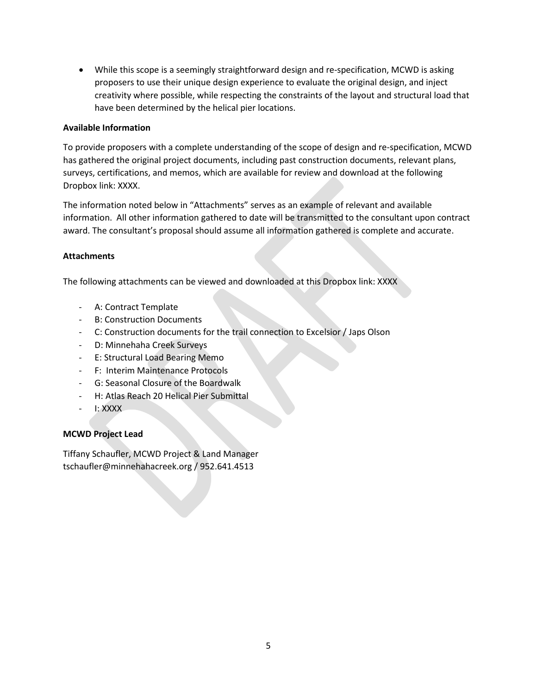• While this scope is a seemingly straightforward design and re-specification, MCWD is asking proposers to use their unique design experience to evaluate the original design, and inject creativity where possible, while respecting the constraints of the layout and structural load that have been determined by the helical pier locations.

## **Available Information**

To provide proposers with a complete understanding of the scope of design and re-specification, MCWD has gathered the original project documents, including past construction documents, relevant plans, surveys, certifications, and memos, which are available for review and download at the following Dropbox link: XXXX.

The information noted below in "Attachments" serves as an example of relevant and available information. All other information gathered to date will be transmitted to the consultant upon contract award. The consultant's proposal should assume all information gathered is complete and accurate.

## **Attachments**

The following attachments can be viewed and downloaded at this Dropbox link: XXXX

- A: Contract Template
- B: Construction Documents
- C: Construction documents for the trail connection to Excelsior / Japs Olson
- D: Minnehaha Creek Surveys
- E: Structural Load Bearing Memo
- F: Interim Maintenance Protocols
- G: Seasonal Closure of the Boardwalk
- H: Atlas Reach 20 Helical Pier Submittal
- I: XXXX

# **MCWD Project Lead**

Tiffany Schaufler, MCWD Project & Land Manager tschaufler@minnehahacreek.org / 952.641.4513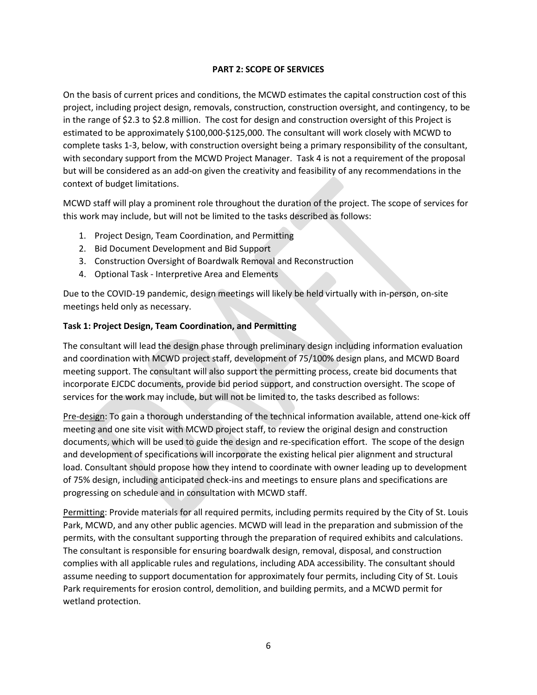### **PART 2: SCOPE OF SERVICES**

On the basis of current prices and conditions, the MCWD estimates the capital construction cost of this project, including project design, removals, construction, construction oversight, and contingency, to be in the range of \$2.3 to \$2.8 million. The cost for design and construction oversight of this Project is estimated to be approximately \$100,000-\$125,000. The consultant will work closely with MCWD to complete tasks 1-3, below, with construction oversight being a primary responsibility of the consultant, with secondary support from the MCWD Project Manager. Task 4 is not a requirement of the proposal but will be considered as an add-on given the creativity and feasibility of any recommendations in the context of budget limitations.

MCWD staff will play a prominent role throughout the duration of the project. The scope of services for this work may include, but will not be limited to the tasks described as follows:

- 1. Project Design, Team Coordination, and Permitting
- 2. Bid Document Development and Bid Support
- 3. Construction Oversight of Boardwalk Removal and Reconstruction
- 4. Optional Task Interpretive Area and Elements

Due to the COVID-19 pandemic, design meetings will likely be held virtually with in-person, on-site meetings held only as necessary.

### **Task 1: Project Design, Team Coordination, and Permitting**

The consultant will lead the design phase through preliminary design including information evaluation and coordination with MCWD project staff, development of 75/100% design plans, and MCWD Board meeting support. The consultant will also support the permitting process, create bid documents that incorporate EJCDC documents, provide bid period support, and construction oversight. The scope of services for the work may include, but will not be limited to, the tasks described as follows:

Pre-design: To gain a thorough understanding of the technical information available, attend one-kick off meeting and one site visit with MCWD project staff, to review the original design and construction documents, which will be used to guide the design and re-specification effort. The scope of the design and development of specifications will incorporate the existing helical pier alignment and structural load. Consultant should propose how they intend to coordinate with owner leading up to development of 75% design, including anticipated check-ins and meetings to ensure plans and specifications are progressing on schedule and in consultation with MCWD staff.

Permitting: Provide materials for all required permits, including permits required by the City of St. Louis Park, MCWD, and any other public agencies. MCWD will lead in the preparation and submission of the permits, with the consultant supporting through the preparation of required exhibits and calculations. The consultant is responsible for ensuring boardwalk design, removal, disposal, and construction complies with all applicable rules and regulations, including ADA accessibility. The consultant should assume needing to support documentation for approximately four permits, including City of St. Louis Park requirements for erosion control, demolition, and building permits, and a MCWD permit for wetland protection.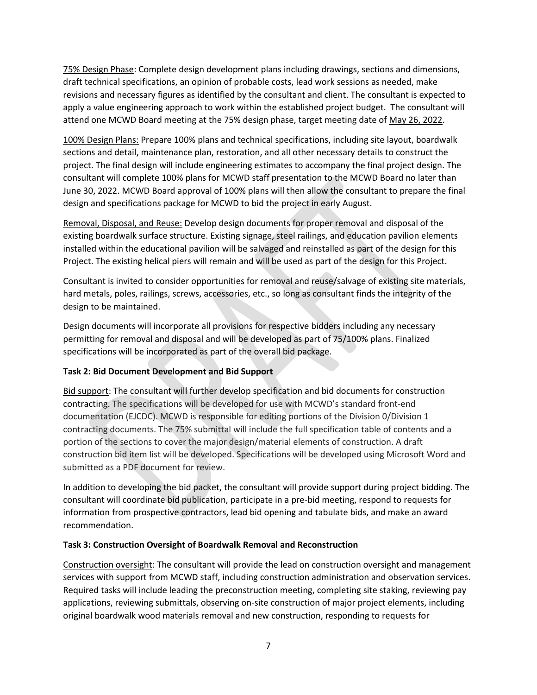75% Design Phase: Complete design development plans including drawings, sections and dimensions, draft technical specifications, an opinion of probable costs, lead work sessions as needed, make revisions and necessary figures as identified by the consultant and client. The consultant is expected to apply a value engineering approach to work within the established project budget. The consultant will attend one MCWD Board meeting at the 75% design phase, target meeting date of May 26, 2022.

100% Design Plans: Prepare 100% plans and technical specifications, including site layout, boardwalk sections and detail, maintenance plan, restoration, and all other necessary details to construct the project. The final design will include engineering estimates to accompany the final project design. The consultant will complete 100% plans for MCWD staff presentation to the MCWD Board no later than June 30, 2022. MCWD Board approval of 100% plans will then allow the consultant to prepare the final design and specifications package for MCWD to bid the project in early August.

Removal, Disposal, and Reuse: Develop design documents for proper removal and disposal of the existing boardwalk surface structure. Existing signage, steel railings, and education pavilion elements installed within the educational pavilion will be salvaged and reinstalled as part of the design for this Project. The existing helical piers will remain and will be used as part of the design for this Project.

Consultant is invited to consider opportunities for removal and reuse/salvage of existing site materials, hard metals, poles, railings, screws, accessories, etc., so long as consultant finds the integrity of the design to be maintained.

Design documents will incorporate all provisions for respective bidders including any necessary permitting for removal and disposal and will be developed as part of 75/100% plans. Finalized specifications will be incorporated as part of the overall bid package.

# **Task 2: Bid Document Development and Bid Support**

Bid support: The consultant will further develop specification and bid documents for construction contracting. The specifications will be developed for use with MCWD's standard front-end documentation (EJCDC). MCWD is responsible for editing portions of the Division 0/Division 1 contracting documents. The 75% submittal will include the full specification table of contents and a portion of the sections to cover the major design/material elements of construction. A draft construction bid item list will be developed. Specifications will be developed using Microsoft Word and submitted as a PDF document for review.

In addition to developing the bid packet, the consultant will provide support during project bidding. The consultant will coordinate bid publication, participate in a pre-bid meeting, respond to requests for information from prospective contractors, lead bid opening and tabulate bids, and make an award recommendation.

### **Task 3: Construction Oversight of Boardwalk Removal and Reconstruction**

Construction oversight: The consultant will provide the lead on construction oversight and management services with support from MCWD staff, including construction administration and observation services. Required tasks will include leading the preconstruction meeting, completing site staking, reviewing pay applications, reviewing submittals, observing on-site construction of major project elements, including original boardwalk wood materials removal and new construction, responding to requests for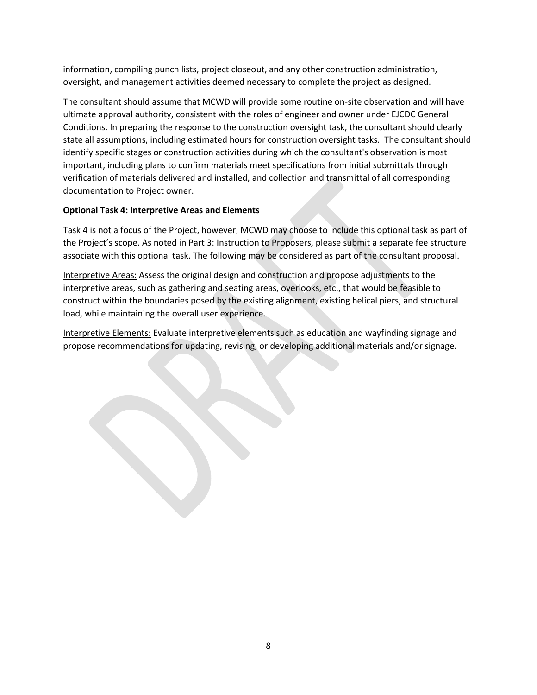information, compiling punch lists, project closeout, and any other construction administration, oversight, and management activities deemed necessary to complete the project as designed.

The consultant should assume that MCWD will provide some routine on-site observation and will have ultimate approval authority, consistent with the roles of engineer and owner under EJCDC General Conditions. In preparing the response to the construction oversight task, the consultant should clearly state all assumptions, including estimated hours for construction oversight tasks. The consultant should identify specific stages or construction activities during which the consultant's observation is most important, including plans to confirm materials meet specifications from initial submittals through verification of materials delivered and installed, and collection and transmittal of all corresponding documentation to Project owner.

## **Optional Task 4: Interpretive Areas and Elements**

Task 4 is not a focus of the Project, however, MCWD may choose to include this optional task as part of the Project's scope. As noted in Part 3: Instruction to Proposers, please submit a separate fee structure associate with this optional task. The following may be considered as part of the consultant proposal.

Interpretive Areas: Assess the original design and construction and propose adjustments to the interpretive areas, such as gathering and seating areas, overlooks, etc., that would be feasible to construct within the boundaries posed by the existing alignment, existing helical piers, and structural load, while maintaining the overall user experience.

Interpretive Elements: Evaluate interpretive elements such as education and wayfinding signage and propose recommendations for updating, revising, or developing additional materials and/or signage.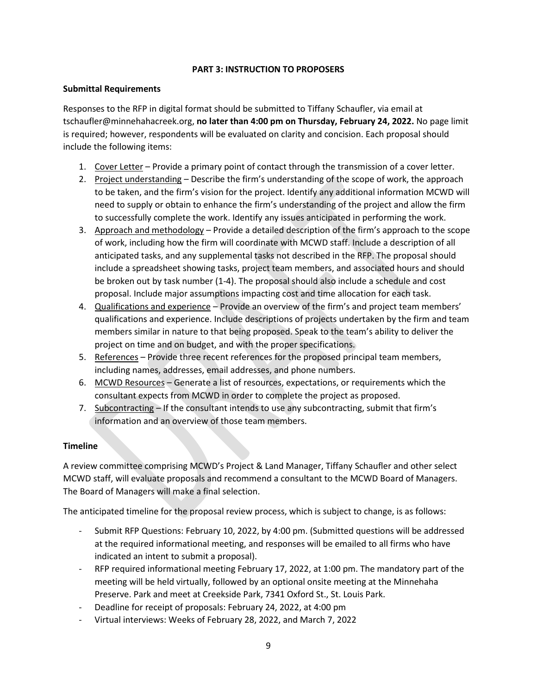## **PART 3: INSTRUCTION TO PROPOSERS**

## **Submittal Requirements**

Responses to the RFP in digital format should be submitted to Tiffany Schaufler, via email at tschaufler@minnehahacreek.org, **no later than 4:00 pm on Thursday, February 24, 2022.** No page limit is required; however, respondents will be evaluated on clarity and concision. Each proposal should include the following items:

- 1. Cover Letter Provide a primary point of contact through the transmission of a cover letter.
- 2. Project understanding Describe the firm's understanding of the scope of work, the approach to be taken, and the firm's vision for the project. Identify any additional information MCWD will need to supply or obtain to enhance the firm's understanding of the project and allow the firm to successfully complete the work. Identify any issues anticipated in performing the work.
- 3. Approach and methodology Provide a detailed description of the firm's approach to the scope of work, including how the firm will coordinate with MCWD staff. Include a description of all anticipated tasks, and any supplemental tasks not described in the RFP. The proposal should include a spreadsheet showing tasks, project team members, and associated hours and should be broken out by task number (1-4). The proposal should also include a schedule and cost proposal. Include major assumptions impacting cost and time allocation for each task.
- 4. Qualifications and experience Provide an overview of the firm's and project team members' qualifications and experience. Include descriptions of projects undertaken by the firm and team members similar in nature to that being proposed. Speak to the team's ability to deliver the project on time and on budget, and with the proper specifications.
- 5. References Provide three recent references for the proposed principal team members, including names, addresses, email addresses, and phone numbers.
- 6. MCWD Resources Generate a list of resources, expectations, or requirements which the consultant expects from MCWD in order to complete the project as proposed.
- 7. Subcontracting If the consultant intends to use any subcontracting, submit that firm's information and an overview of those team members.

# **Timeline**

A review committee comprising MCWD's Project & Land Manager, Tiffany Schaufler and other select MCWD staff, will evaluate proposals and recommend a consultant to the MCWD Board of Managers. The Board of Managers will make a final selection.

The anticipated timeline for the proposal review process, which is subject to change, is as follows:

- Submit RFP Questions: February 10, 2022, by 4:00 pm. (Submitted questions will be addressed at the required informational meeting, and responses will be emailed to all firms who have indicated an intent to submit a proposal).
- RFP required informational meeting February 17, 2022, at 1:00 pm. The mandatory part of the meeting will be held virtually, followed by an optional onsite meeting at the Minnehaha Preserve. Park and meet at Creekside Park, 7341 Oxford St., St. Louis Park.
- Deadline for receipt of proposals: February 24, 2022, at 4:00 pm
- Virtual interviews: Weeks of February 28, 2022, and March 7, 2022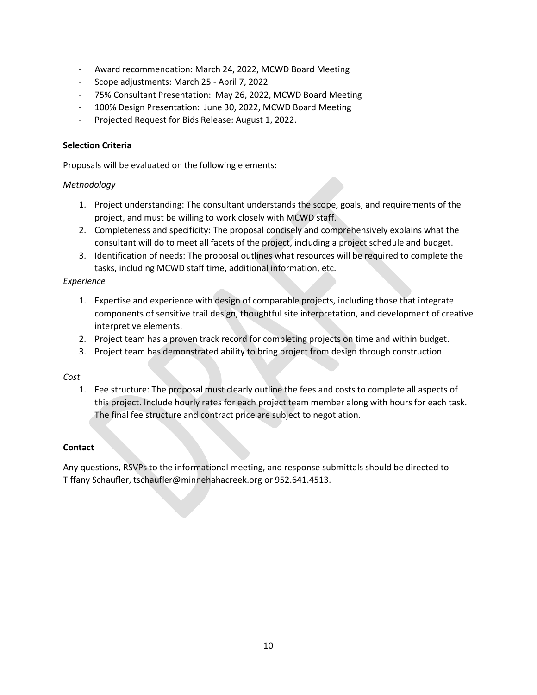- Award recommendation: March 24, 2022, MCWD Board Meeting
- Scope adjustments: March 25 April 7, 2022
- 75% Consultant Presentation: May 26, 2022, MCWD Board Meeting
- 100% Design Presentation: June 30, 2022, MCWD Board Meeting
- Projected Request for Bids Release: August 1, 2022.

#### **Selection Criteria**

Proposals will be evaluated on the following elements:

#### *Methodology*

- 1. Project understanding: The consultant understands the scope, goals, and requirements of the project, and must be willing to work closely with MCWD staff.
- 2. Completeness and specificity: The proposal concisely and comprehensively explains what the consultant will do to meet all facets of the project, including a project schedule and budget.
- 3. Identification of needs: The proposal outlines what resources will be required to complete the tasks, including MCWD staff time, additional information, etc.

#### *Experience*

- 1. Expertise and experience with design of comparable projects, including those that integrate components of sensitive trail design, thoughtful site interpretation, and development of creative interpretive elements.
- 2. Project team has a proven track record for completing projects on time and within budget.
- 3. Project team has demonstrated ability to bring project from design through construction.

#### *Cost*

1. Fee structure: The proposal must clearly outline the fees and costs to complete all aspects of this project. Include hourly rates for each project team member along with hours for each task. The final fee structure and contract price are subject to negotiation.

### **Contact**

Any questions, RSVPs to the informational meeting, and response submittals should be directed to Tiffany Schaufler, tschaufler@minnehahacreek.org or 952.641.4513.